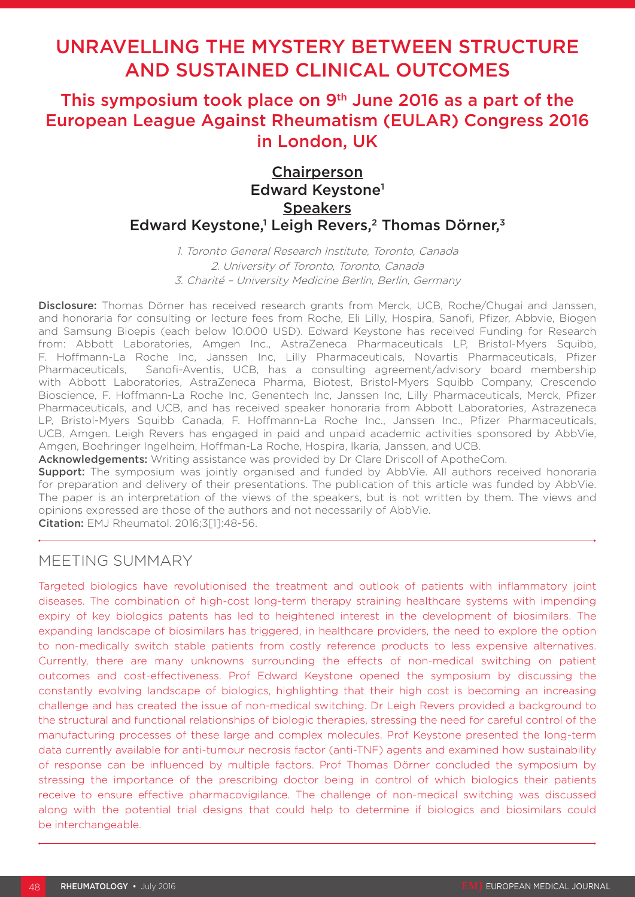# UNRAVELLING THE MYSTERY BETWEEN STRUCTURE AND SUSTAINED CLINICAL OUTCOMES

## This symposium took place on  $9<sup>th</sup>$  June 2016 as a part of the European League Against Rheumatism (EULAR) Congress 2016 in London, UK

## **Chairperson** Edward Keystone<sup>1</sup> **Speakers** Edward Keystone,<sup>1</sup> Leigh Revers,<sup>2</sup> Thomas Dörner,<sup>3</sup>

1. Toronto General Research Institute, Toronto, Canada 2. University of Toronto, Toronto, Canada 3. Charité – University Medicine Berlin, Berlin, Germany

Disclosure: Thomas Dörner has received research grants from Merck, UCB, Roche/Chugai and Janssen, and honoraria for consulting or lecture fees from Roche, Eli Lilly, Hospira, Sanofi, Pfizer, Abbvie, Biogen and Samsung Bioepis (each below 10.000 USD). Edward Keystone has received Funding for Research from: Abbott Laboratories, Amgen Inc., AstraZeneca Pharmaceuticals LP, Bristol-Myers Squibb, F. Hoffmann-La Roche Inc, Janssen Inc, Lilly Pharmaceuticals, Novartis Pharmaceuticals, Pfizer Pharmaceuticals, Sanofi-Aventis, UCB, has a consulting agreement/advisory board membership with Abbott Laboratories, AstraZeneca Pharma, Biotest, Bristol-Myers Squibb Company, Crescendo Bioscience, F. Hoffmann-La Roche Inc, Genentech Inc, Janssen Inc, Lilly Pharmaceuticals, Merck, Pfizer Pharmaceuticals, and UCB, and has received speaker honoraria from Abbott Laboratories, Astrazeneca LP, Bristol-Myers Squibb Canada, F. Hoffmann-La Roche Inc., Janssen Inc., Pfizer Pharmaceuticals, UCB, Amgen. Leigh Revers has engaged in paid and unpaid academic activities sponsored by AbbVie, Amgen, Boehringer Ingelheim, Hoffman-La Roche, Hospira, Ikaria, Janssen, and UCB.

Acknowledgements: Writing assistance was provided by Dr Clare Driscoll of ApotheCom.

**Support:** The symposium was jointly organised and funded by AbbVie. All authors received honoraria for preparation and delivery of their presentations. The publication of this article was funded by AbbVie. The paper is an interpretation of the views of the speakers, but is not written by them. The views and opinions expressed are those of the authors and not necessarily of AbbVie.

Citation: EMJ Rheumatol. 2016;3[1]:48-56.

### MEETING SUMMARY

Targeted biologics have revolutionised the treatment and outlook of patients with inflammatory joint diseases. The combination of high-cost long-term therapy straining healthcare systems with impending expiry of key biologics patents has led to heightened interest in the development of biosimilars. The expanding landscape of biosimilars has triggered, in healthcare providers, the need to explore the option to non-medically switch stable patients from costly reference products to less expensive alternatives. Currently, there are many unknowns surrounding the effects of non-medical switching on patient outcomes and cost-effectiveness. Prof Edward Keystone opened the symposium by discussing the constantly evolving landscape of biologics, highlighting that their high cost is becoming an increasing challenge and has created the issue of non-medical switching. Dr Leigh Revers provided a background to the structural and functional relationships of biologic therapies, stressing the need for careful control of the manufacturing processes of these large and complex molecules. Prof Keystone presented the long-term data currently available for anti-tumour necrosis factor (anti-TNF) agents and examined how sustainability of response can be influenced by multiple factors. Prof Thomas Dörner concluded the symposium by stressing the importance of the prescribing doctor being in control of which biologics their patients receive to ensure effective pharmacovigilance. The challenge of non-medical switching was discussed along with the potential trial designs that could help to determine if biologics and biosimilars could be interchangeable.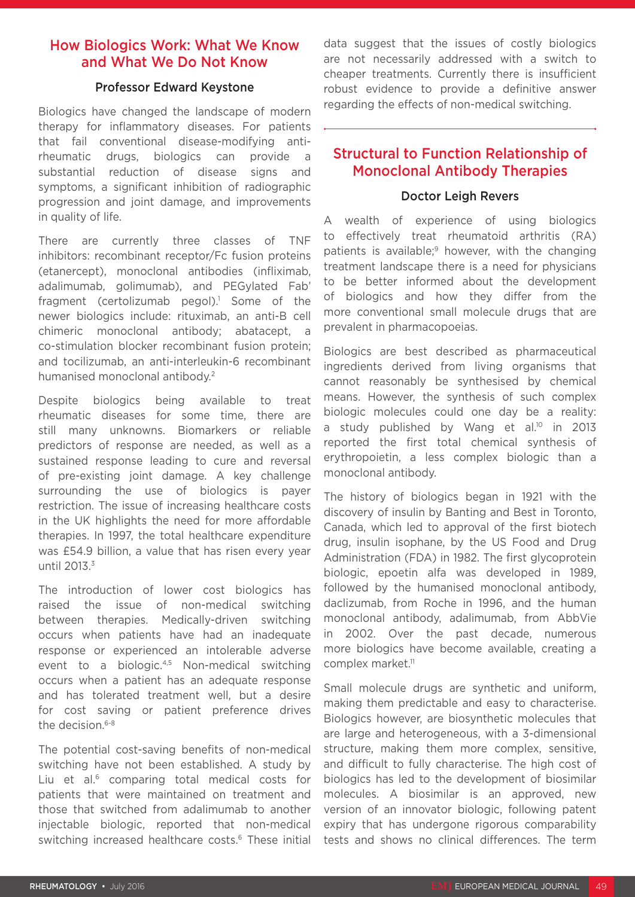### How Biologics Work: What We Know and What We Do Not Know

### Professor Edward Keystone

Biologics have changed the landscape of modern therapy for inflammatory diseases. For patients that fail conventional disease-modifying antirheumatic drugs, biologics can provide a substantial reduction of disease signs and symptoms, a significant inhibition of radiographic progression and joint damage, and improvements in quality of life.

There are currently three classes of TNF inhibitors: recombinant receptor/Fc fusion proteins (etanercept), monoclonal antibodies (infliximab, adalimumab, golimumab), and PEGylated Fab' fragment (certolizumab pegol).<sup>1</sup> Some of the newer biologics include: rituximab, an anti-B cell chimeric monoclonal antibody; abatacept, a co-stimulation blocker recombinant fusion protein; and tocilizumab, an anti-interleukin-6 recombinant humanised monoclonal antibody.2

Despite biologics being available to treat rheumatic diseases for some time, there are still many unknowns. Biomarkers or reliable predictors of response are needed, as well as a sustained response leading to cure and reversal of pre-existing joint damage. A key challenge surrounding the use of biologics is payer restriction. The issue of increasing healthcare costs in the UK highlights the need for more affordable therapies. In 1997, the total healthcare expenditure was £54.9 billion, a value that has risen every year until 2013.<sup>3</sup>

The introduction of lower cost biologics has raised the issue of non-medical switching between therapies. Medically-driven switching occurs when patients have had an inadequate response or experienced an intolerable adverse event to a biologic.4,5 Non-medical switching occurs when a patient has an adequate response and has tolerated treatment well, but a desire for cost saving or patient preference drives the decision.6-8

The potential cost-saving benefits of non-medical switching have not been established. A study by Liu et al.<sup>6</sup> comparing total medical costs for patients that were maintained on treatment and those that switched from adalimumab to another injectable biologic, reported that non-medical switching increased healthcare costs.<sup>6</sup> These initial data suggest that the issues of costly biologics are not necessarily addressed with a switch to cheaper treatments. Currently there is insufficient robust evidence to provide a definitive answer regarding the effects of non-medical switching.

### Structural to Function Relationship of Monoclonal Antibody Therapies

#### Doctor Leigh Revers

A wealth of experience of using biologics to effectively treat rheumatoid arthritis (RA) patients is available:<sup>9</sup> however, with the changing treatment landscape there is a need for physicians to be better informed about the development of biologics and how they differ from the more conventional small molecule drugs that are prevalent in pharmacopoeias.

Biologics are best described as pharmaceutical ingredients derived from living organisms that cannot reasonably be synthesised by chemical means. However, the synthesis of such complex biologic molecules could one day be a reality: a study published by Wang et al.<sup>10</sup> in 2013 reported the first total chemical synthesis of erythropoietin, a less complex biologic than a monoclonal antibody.

The history of biologics began in 1921 with the discovery of insulin by Banting and Best in Toronto, Canada, which led to approval of the first biotech drug, insulin isophane, by the US Food and Drug Administration (FDA) in 1982. The first glycoprotein biologic, epoetin alfa was developed in 1989, followed by the humanised monoclonal antibody, daclizumab, from Roche in 1996, and the human monoclonal antibody, adalimumab, from AbbVie in 2002. Over the past decade, numerous more biologics have become available, creating a complex market.<sup>11</sup>

Small molecule drugs are synthetic and uniform, making them predictable and easy to characterise. Biologics however, are biosynthetic molecules that are large and heterogeneous, with a 3-dimensional structure, making them more complex, sensitive, and difficult to fully characterise. The high cost of biologics has led to the development of biosimilar molecules. A biosimilar is an approved, new version of an innovator biologic, following patent expiry that has undergone rigorous comparability tests and shows no clinical differences. The term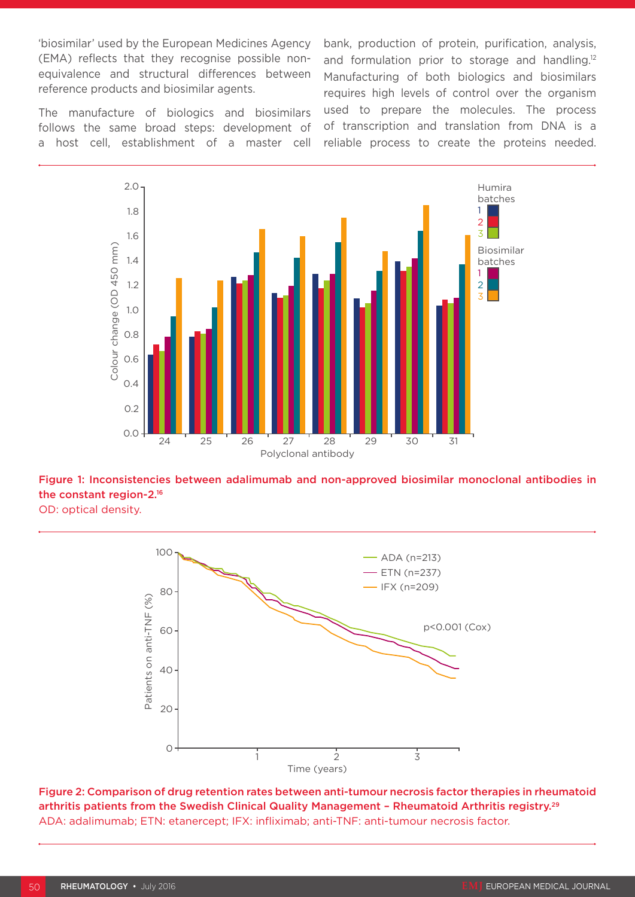'biosimilar' used by the European Medicines Agency (EMA) reflects that they recognise possible nonequivalence and structural differences between reference products and biosimilar agents.

The manufacture of biologics and biosimilars follows the same broad steps: development of a host cell, establishment of a master cell bank, production of protein, purification, analysis, and formulation prior to storage and handling.<sup>12</sup> Manufacturing of both biologics and biosimilars requires high levels of control over the organism used to prepare the molecules. The process of transcription and translation from DNA is a reliable process to create the proteins needed.



Figure 1: Inconsistencies between adalimumab and non-approved biosimilar monoclonal antibodies in the constant region-2.16

OD: optical density.



Figure 2: Comparison of drug retention rates between anti-tumour necrosis factor therapies in rheumatoid arthritis patients from the Swedish Clinical Quality Management - Rheumatoid Arthritis registry.<sup>29</sup> ADA: adalimumab; ETN: etanercept; IFX: infliximab; anti-TNF: anti-tumour necrosis factor.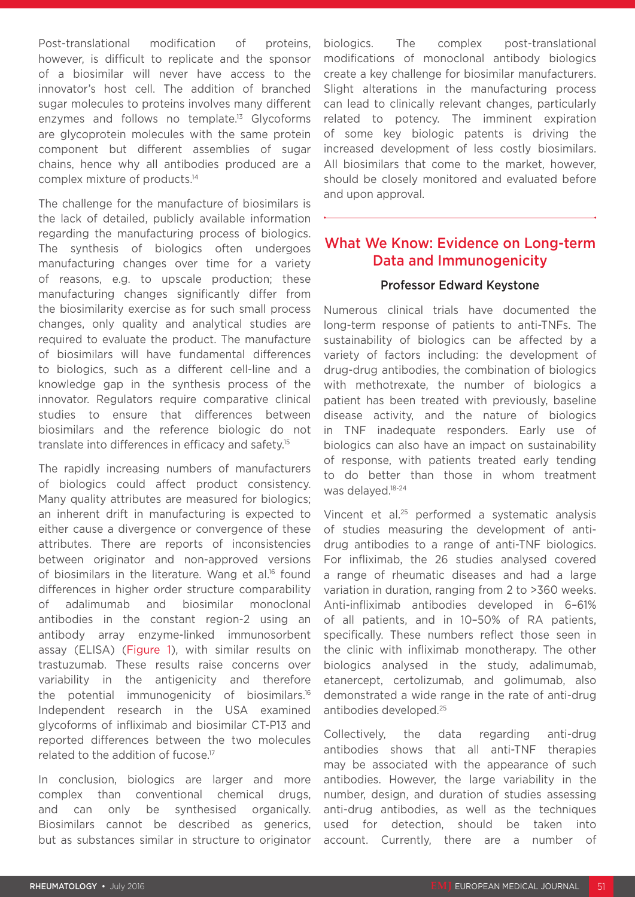Post-translational modification of proteins, however, is difficult to replicate and the sponsor of a biosimilar will never have access to the innovator's host cell. The addition of branched sugar molecules to proteins involves many different enzymes and follows no template.13 Glycoforms are glycoprotein molecules with the same protein component but different assemblies of sugar chains, hence why all antibodies produced are a complex mixture of products.14

The challenge for the manufacture of biosimilars is the lack of detailed, publicly available information regarding the manufacturing process of biologics. The synthesis of biologics often undergoes manufacturing changes over time for a variety of reasons, e.g. to upscale production; these manufacturing changes significantly differ from the biosimilarity exercise as for such small process changes, only quality and analytical studies are required to evaluate the product. The manufacture of biosimilars will have fundamental differences to biologics, such as a different cell-line and a knowledge gap in the synthesis process of the innovator. Regulators require comparative clinical studies to ensure that differences between biosimilars and the reference biologic do not translate into differences in efficacy and safety.15

The rapidly increasing numbers of manufacturers of biologics could affect product consistency. Many quality attributes are measured for biologics; an inherent drift in manufacturing is expected to either cause a divergence or convergence of these attributes. There are reports of inconsistencies between originator and non-approved versions of biosimilars in the literature. Wang et al.<sup>16</sup> found differences in higher order structure comparability of adalimumab and biosimilar monoclonal antibodies in the constant region-2 using an antibody array enzyme-linked immunosorbent assay (ELISA) (Figure 1), with similar results on trastuzumab. These results raise concerns over variability in the antigenicity and therefore the potential immunogenicity of biosimilars.16 Independent research in the USA examined glycoforms of infliximab and biosimilar CT-P13 and reported differences between the two molecules related to the addition of fucose.17

In conclusion, biologics are larger and more complex than conventional chemical drugs, and can only be synthesised organically. Biosimilars cannot be described as generics, but as substances similar in structure to originator biologics. The complex post-translational modifications of monoclonal antibody biologics create a key challenge for biosimilar manufacturers. Slight alterations in the manufacturing process can lead to clinically relevant changes, particularly related to potency. The imminent expiration of some key biologic patents is driving the increased development of less costly biosimilars. All biosimilars that come to the market, however, should be closely monitored and evaluated before and upon approval.

### What We Know: Evidence on Long-term Data and Immunogenicity

#### Professor Edward Keystone

Numerous clinical trials have documented the long-term response of patients to anti-TNFs. The sustainability of biologics can be affected by a variety of factors including: the development of drug-drug antibodies, the combination of biologics with methotrexate, the number of biologics a patient has been treated with previously, baseline disease activity, and the nature of biologics in TNF inadequate responders. Early use of biologics can also have an impact on sustainability of response, with patients treated early tending to do better than those in whom treatment was delayed.18-24

Vincent et al.25 performed a systematic analysis of studies measuring the development of antidrug antibodies to a range of anti-TNF biologics. For infliximab, the 26 studies analysed covered a range of rheumatic diseases and had a large variation in duration, ranging from 2 to >360 weeks. Anti-infliximab antibodies developed in 6–61% of all patients, and in 10–50% of RA patients, specifically. These numbers reflect those seen in the clinic with infliximab monotherapy. The other biologics analysed in the study, adalimumab, etanercept, certolizumab, and golimumab, also demonstrated a wide range in the rate of anti-drug antibodies developed.25

Collectively, the data regarding anti-drug antibodies shows that all anti-TNF therapies may be associated with the appearance of such antibodies. However, the large variability in the number, design, and duration of studies assessing anti-drug antibodies, as well as the techniques used for detection, should be taken into account. Currently, there are a number of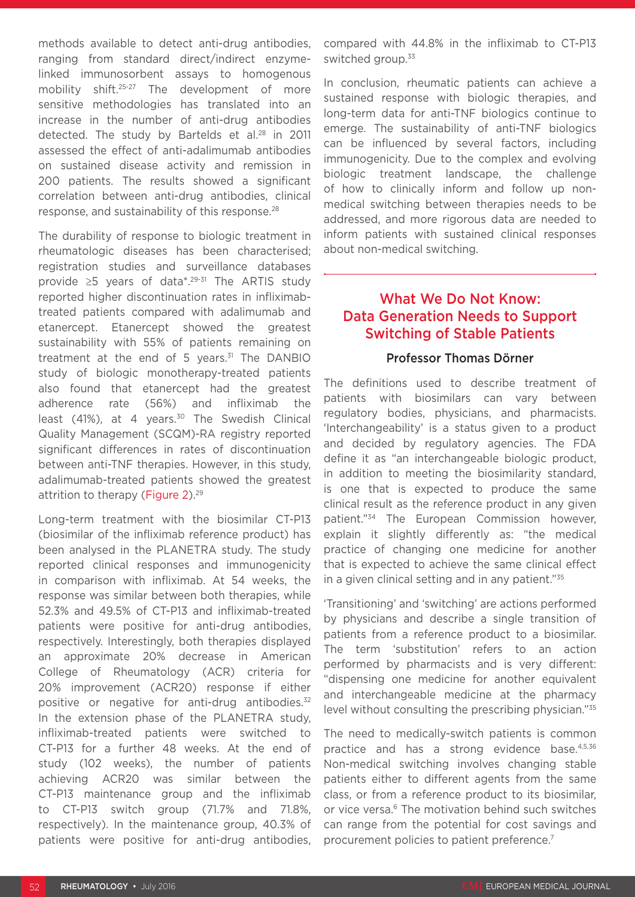methods available to detect anti-drug antibodies, ranging from standard direct/indirect enzymelinked immunosorbent assays to homogenous mobility shift.25-27 The development of more sensitive methodologies has translated into an increase in the number of anti-drug antibodies detected. The study by Bartelds et al.<sup>28</sup> in 2011 assessed the effect of anti-adalimumab antibodies on sustained disease activity and remission in 200 patients. The results showed a significant correlation between anti-drug antibodies, clinical response, and sustainability of this response.28

The durability of response to biologic treatment in rheumatologic diseases has been characterised; registration studies and surveillance databases provide ≥5 years of data\*.29-31 The ARTIS study reported higher discontinuation rates in infliximabtreated patients compared with adalimumab and etanercept. Etanercept showed the greatest sustainability with 55% of patients remaining on treatment at the end of 5 years. $31$  The DANBIO study of biologic monotherapy-treated patients also found that etanercept had the greatest adherence rate (56%) and infliximab the least (41%), at 4 years.<sup>30</sup> The Swedish Clinical Quality Management (SCQM)-RA registry reported significant differences in rates of discontinuation between anti-TNF therapies. However, in this study, adalimumab-treated patients showed the greatest attrition to therapy (Figure 2).<sup>29</sup>

Long-term treatment with the biosimilar CT-P13 (biosimilar of the infliximab reference product) has been analysed in the PLANETRA study. The study reported clinical responses and immunogenicity in comparison with infliximab. At 54 weeks, the response was similar between both therapies, while 52.3% and 49.5% of CT-P13 and infliximab-treated patients were positive for anti-drug antibodies, respectively. Interestingly, both therapies displayed an approximate 20% decrease in American College of Rheumatology (ACR) criteria for 20% improvement (ACR20) response if either positive or negative for anti-drug antibodies.<sup>32</sup> In the extension phase of the PLANETRA study, infliximab-treated patients were switched to CT-P13 for a further 48 weeks. At the end of study (102 weeks), the number of patients achieving ACR20 was similar between the CT-P13 maintenance group and the infliximab to CT-P13 switch group (71.7% and 71.8%, respectively). In the maintenance group, 40.3% of patients were positive for anti-drug antibodies, compared with 44.8% in the infliximab to CT-P13 switched group.<sup>33</sup>

In conclusion, rheumatic patients can achieve a sustained response with biologic therapies, and long-term data for anti-TNF biologics continue to emerge. The sustainability of anti-TNF biologics can be influenced by several factors, including immunogenicity. Due to the complex and evolving biologic treatment landscape, the challenge of how to clinically inform and follow up nonmedical switching between therapies needs to be addressed, and more rigorous data are needed to inform patients with sustained clinical responses about non-medical switching.

### What We Do Not Know: Data Generation Needs to Support Switching of Stable Patients

### Professor Thomas Dörner

The definitions used to describe treatment of patients with biosimilars can vary between regulatory bodies, physicians, and pharmacists. 'Interchangeability' is a status given to a product and decided by regulatory agencies. The FDA define it as "an interchangeable biologic product, in addition to meeting the biosimilarity standard, is one that is expected to produce the same clinical result as the reference product in any given patient."34 The European Commission however, explain it slightly differently as: "the medical practice of changing one medicine for another that is expected to achieve the same clinical effect in a given clinical setting and in any patient."35

'Transitioning' and 'switching' are actions performed by physicians and describe a single transition of patients from a reference product to a biosimilar. The term 'substitution' refers to an action performed by pharmacists and is very different: "dispensing one medicine for another equivalent and interchangeable medicine at the pharmacy level without consulting the prescribing physician."<sup>35</sup>

The need to medically-switch patients is common practice and has a strong evidence base.4,5,36 Non-medical switching involves changing stable patients either to different agents from the same class, or from a reference product to its biosimilar, or vice versa.<sup>6</sup> The motivation behind such switches can range from the potential for cost savings and procurement policies to patient preference.7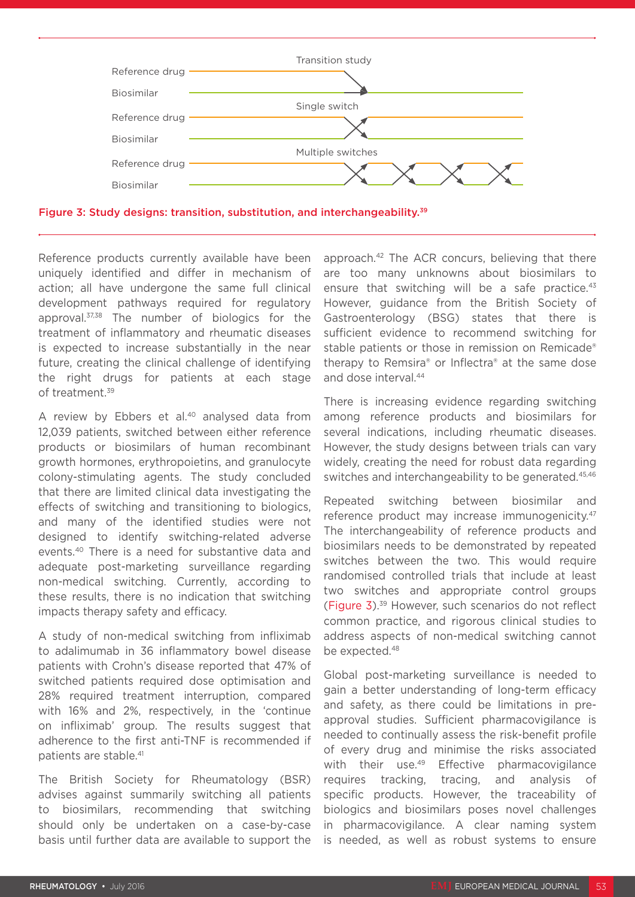

Figure 3: Study designs: transition, substitution, and interchangeability.39

Reference products currently available have been uniquely identified and differ in mechanism of action; all have undergone the same full clinical development pathways required for regulatory approval.37,38 The number of biologics for the treatment of inflammatory and rheumatic diseases is expected to increase substantially in the near future, creating the clinical challenge of identifying the right drugs for patients at each stage of treatment.39

A review by Ebbers et al.<sup>40</sup> analysed data from 12,039 patients, switched between either reference products or biosimilars of human recombinant growth hormones, erythropoietins, and granulocyte colony-stimulating agents. The study concluded that there are limited clinical data investigating the effects of switching and transitioning to biologics, and many of the identified studies were not designed to identify switching-related adverse events.40 There is a need for substantive data and adequate post-marketing surveillance regarding non-medical switching. Currently, according to these results, there is no indication that switching impacts therapy safety and efficacy.

A study of non-medical switching from infliximab to adalimumab in 36 inflammatory bowel disease patients with Crohn's disease reported that 47% of switched patients required dose optimisation and 28% required treatment interruption, compared with 16% and 2%, respectively, in the 'continue on infliximab' group. The results suggest that adherence to the first anti-TNF is recommended if patients are stable.<sup>41</sup>

The British Society for Rheumatology (BSR) advises against summarily switching all patients to biosimilars, recommending that switching should only be undertaken on a case-by-case basis until further data are available to support the

approach.42 The ACR concurs, believing that there are too many unknowns about biosimilars to ensure that switching will be a safe practice.<sup>43</sup> However, guidance from the British Society of Gastroenterology (BSG) states that there is sufficient evidence to recommend switching for stable patients or those in remission on Remicade® therapy to Remsira® or Inflectra® at the same dose and dose interval.44

There is increasing evidence regarding switching among reference products and biosimilars for several indications, including rheumatic diseases. However, the study designs between trials can vary widely, creating the need for robust data regarding switches and interchangeability to be generated.<sup>45,46</sup>

Repeated switching between biosimilar and reference product may increase immunogenicity.<sup>47</sup> The interchangeability of reference products and biosimilars needs to be demonstrated by repeated switches between the two. This would require randomised controlled trials that include at least two switches and appropriate control groups (Figure 3).39 However, such scenarios do not reflect common practice, and rigorous clinical studies to address aspects of non-medical switching cannot be expected.<sup>48</sup>

Global post-marketing surveillance is needed to gain a better understanding of long-term efficacy and safety, as there could be limitations in preapproval studies. Sufficient pharmacovigilance is needed to continually assess the risk-benefit profile of every drug and minimise the risks associated with their use.<sup>49</sup> Effective pharmacovigilance requires tracking, tracing, and analysis of specific products. However, the traceability of biologics and biosimilars poses novel challenges in pharmacovigilance. A clear naming system is needed, as well as robust systems to ensure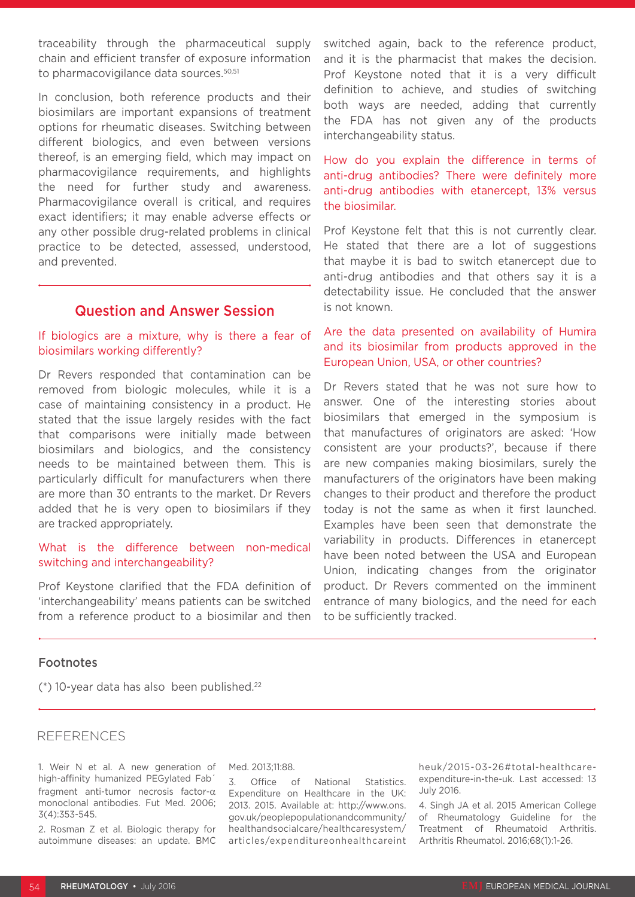traceability through the pharmaceutical supply chain and efficient transfer of exposure information to pharmacovigilance data sources.<sup>50,51</sup>

In conclusion, both reference products and their biosimilars are important expansions of treatment options for rheumatic diseases. Switching between different biologics, and even between versions thereof, is an emerging field, which may impact on pharmacovigilance requirements, and highlights the need for further study and awareness. Pharmacovigilance overall is critical, and requires exact identifiers; it may enable adverse effects or any other possible drug-related problems in clinical practice to be detected, assessed, understood, and prevented.

### Question and Answer Session

#### If biologics are a mixture, why is there a fear of biosimilars working differently?

Dr Revers responded that contamination can be removed from biologic molecules, while it is a case of maintaining consistency in a product. He stated that the issue largely resides with the fact that comparisons were initially made between biosimilars and biologics, and the consistency needs to be maintained between them. This is particularly difficult for manufacturers when there are more than 30 entrants to the market. Dr Revers added that he is very open to biosimilars if they are tracked appropriately.

#### What is the difference between non-medical switching and interchangeability?

Prof Keystone clarified that the FDA definition of 'interchangeability' means patients can be switched from a reference product to a biosimilar and then switched again, back to the reference product, and it is the pharmacist that makes the decision. Prof Keystone noted that it is a very difficult definition to achieve, and studies of switching both ways are needed, adding that currently the FDA has not given any of the products interchangeability status.

How do you explain the difference in terms of anti-drug antibodies? There were definitely more anti-drug antibodies with etanercept, 13% versus the biosimilar.

Prof Keystone felt that this is not currently clear. He stated that there are a lot of suggestions that maybe it is bad to switch etanercept due to anti-drug antibodies and that others say it is a detectability issue. He concluded that the answer is not known.

### Are the data presented on availability of Humira and its biosimilar from products approved in the European Union, USA, or other countries?

Dr Revers stated that he was not sure how to answer. One of the interesting stories about biosimilars that emerged in the symposium is that manufactures of originators are asked: 'How consistent are your products?', because if there are new companies making biosimilars, surely the manufacturers of the originators have been making changes to their product and therefore the product today is not the same as when it first launched. Examples have been seen that demonstrate the variability in products. Differences in etanercept have been noted between the USA and European Union, indicating changes from the originator product. Dr Revers commented on the imminent entrance of many biologics, and the need for each to be sufficiently tracked.

#### Footnotes

 $(*)$  10-year data has also been published.<sup>22</sup>

#### REFERENCES

1. Weir N et al. A new generation of high-affinity humanized PEGylated Fab´ fragment anti-tumor necrosis factor-α monoclonal antibodies. Fut Med. 2006; 3(4):353-545.

2. Rosman Z et al. Biologic therapy for autoimmune diseases: an update. BMC Med. 2013;11:88.

3. Office of National Statistics. Expenditure on Healthcare in the UK: 2013. 2015. Available at: http://www.ons. gov.uk/peoplepopulationandcommunity/ healthandsocialcare/healthcaresystem/ articles/expenditureonhealthcareint heuk/2015-03-26#total-healthcareexpenditure-in-the-uk. Last accessed: 13 July 2016.

4. Singh JA et al. 2015 American College of Rheumatology Guideline for the Treatment of Rheumatoid Arthritis. Arthritis Rheumatol. 2016;68(1):1-26.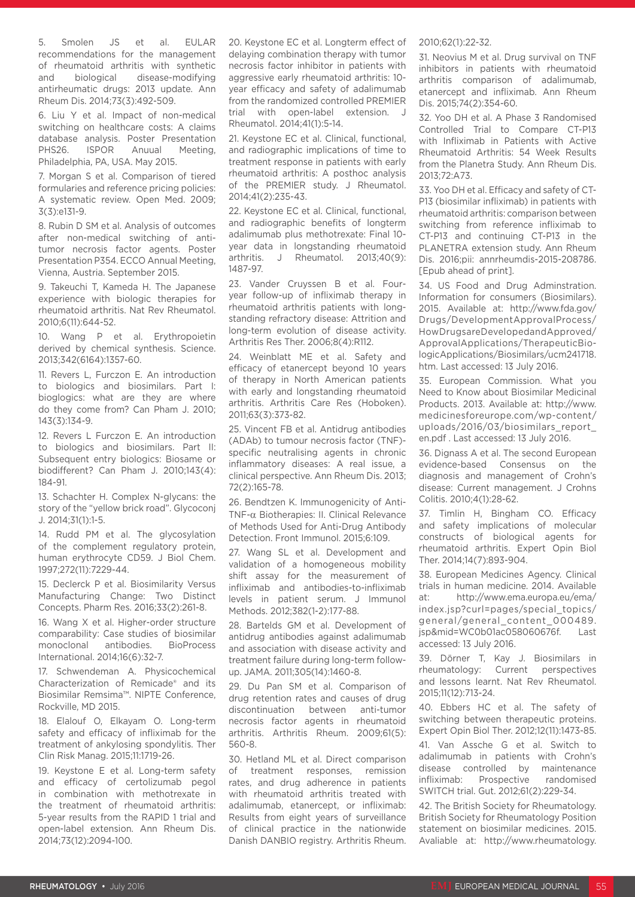5. Smolen JS et al. EULAR recommendations for the management of rheumatoid arthritis with synthetic and biological disease-modifying antirheumatic drugs: 2013 update. Ann Rheum Dis. 2014;73(3):492-509.

6. Liu Y et al. Impact of non-medical switching on healthcare costs: A claims database analysis. Poster Presentation PHS26. ISPOR Anuual Meeting, Philadelphia, PA, USA. May 2015.

7. Morgan S et al. Comparison of tiered formularies and reference pricing policies: A systematic review. Open Med. 2009; 3(3):e131-9.

8. Rubin D SM et al. Analysis of outcomes after non-medical switching of antitumor necrosis factor agents. Poster Presentation P354. ECCO Annual Meeting, Vienna, Austria. September 2015.

9. Takeuchi T, Kameda H. The Japanese experience with biologic therapies for rheumatoid arthritis. Nat Rev Rheumatol. 2010;6(11):644-52.

10. Wang P et al. Erythropoietin derived by chemical synthesis. Science. 2013;342(6164):1357-60.

11. Revers L, Furczon E. An introduction to biologics and biosimilars. Part I: bioglogics: what are they are where do they come from? Can Pham J. 2010; 143(3):134-9.

12. Revers L Furczon E. An introduction to biologics and biosimilars. Part II: Subsequent entry biologics: Biosame or biodifferent? Can Pham J. 2010;143(4): 184-91.

13. Schachter H. Complex N-glycans: the story of the "yellow brick road". Glycoconj J. 2014;31(1):1-5.

14. Rudd PM et al. The glycosylation of the complement regulatory protein, human erythrocyte CD59. J Biol Chem. 1997;272(11):7229-44.

15. Declerck P et al. Biosimilarity Versus Manufacturing Change: Two Distinct Concepts. Pharm Res. 2016;33(2):261-8.

16. Wang X et al. Higher-order structure comparability: Case studies of biosimilar monoclonal antibodies. BioProcess International. 2014;16(6):32-7.

17. Schwendeman A. Physicochemical Characterization of Remicade® and its Biosimilar Remsima™. NIPTE Conference, Rockville, MD 2015.

18. Elalouf O, Elkayam O. Long-term safety and efficacy of infliximab for the treatment of ankylosing spondylitis. Ther Clin Risk Manag. 2015;11:1719-26.

19. Keystone E et al. Long-term safety and efficacy of certolizumab pegol in combination with methotrexate in the treatment of rheumatoid arthritis: 5-year results from the RAPID 1 trial and open-label extension. Ann Rheum Dis. 2014;73(12):2094-100.

20. Keystone EC et al. Longterm effect of delaying combination therapy with tumor necrosis factor inhibitor in patients with aggressive early rheumatoid arthritis: 10 year efficacy and safety of adalimumab from the randomized controlled PREMIER trial with open-label extension. J Rheumatol. 2014;41(1):5-14.

21. Keystone EC et al. Clinical, functional, and radiographic implications of time to treatment response in patients with early rheumatoid arthritis: A posthoc analysis of the PREMIER study. J Rheumatol. 2014;41(2):235-43.

22. Keystone EC et al. Clinical, functional, and radiographic benefits of longterm adalimumab plus methotrexate: Final 10 year data in longstanding rheumatoid arthritis. J Rheumatol. 2013;40(9): 1487-97.

23. Vander Cruyssen B et al. Fouryear follow-up of infliximab therapy in rheumatoid arthritis patients with longstanding refractory disease: Attrition and long-term evolution of disease activity. Arthritis Res Ther. 2006;8(4):R112.

24. Weinblatt ME et al. Safety and efficacy of etanercept beyond 10 years of therapy in North American patients with early and longstanding rheumatoid arthritis. Arthritis Care Res (Hoboken). 2011;63(3):373-82.

25. Vincent FB et al. Antidrug antibodies (ADAb) to tumour necrosis factor (TNF) specific neutralising agents in chronic inflammatory diseases: A real issue, a clinical perspective. Ann Rheum Dis. 2013; 72(2):165-78.

26. Bendtzen K. Immunogenicity of Anti-TNF-α Biotherapies: II. Clinical Relevance of Methods Used for Anti-Drug Antibody Detection. Front Immunol. 2015;6:109.

27. Wang SL et al. Development and validation of a homogeneous mobility shift assay for the measurement of infliximab and antibodies-to-infliximab levels in patient serum. J Immunol Methods. 2012;382(1-2):177-88.

28. Bartelds GM et al. Development of antidrug antibodies against adalimumab and association with disease activity and treatment failure during long-term followup. JAMA. 2011;305(14):1460-8.

29. Du Pan SM et al. Comparison of drug retention rates and causes of drug discontinuation between anti-tumor necrosis factor agents in rheumatoid arthritis. Arthritis Rheum. 2009;61(5): 560-8.

30. Hetland ML et al. Direct comparison of treatment responses, remission rates, and drug adherence in patients with rheumatoid arthritis treated with adalimumab, etanercept, or infliximab: Results from eight years of surveillance of clinical practice in the nationwide Danish DANBIO registry. Arthritis Rheum.

#### 2010;62(1):22-32.

31. Neovius M et al. Drug survival on TNF inhibitors in patients with rheumatoid arthritis comparison of adalimumab, etanercept and infliximab. Ann Rheum Dis. 2015;74(2):354-60.

32. Yoo DH et al. A Phase 3 Randomised Controlled Trial to Compare CT-P13 with Infliximab in Patients with Active Rheumatoid Arthritis: 54 Week Results from the Planetra Study. Ann Rheum Dis. 2013;72:A73.

33. Yoo DH et al. Efficacy and safety of CT-P13 (biosimilar infliximab) in patients with rheumatoid arthritis: comparison between switching from reference infliximab to CT-P13 and continuing CT-P13 in the PLANETRA extension study. Ann Rheum Dis. 2016;pii: annrheumdis-2015-208786. [Epub ahead of print].

34. US Food and Drug Adminstration. Information for consumers (Biosimilars). 2015. Available at: http://www.fda.gov/ Drugs/DevelopmentApprovalProcess/ HowDrugsareDevelopedandApproved/ ApprovalApplications/TherapeuticBiologicApplications/Biosimilars/ucm241718. htm. Last accessed: 13 July 2016.

35. European Commission. What you Need to Know about Biosimilar Medicinal Products. 2013. Available at: http://www. medicinesforeurope.com/wp-content/ uploads/2016/03/biosimilars\_report\_ en.pdf . Last accessed: 13 July 2016.

36. Dignass A et al. The second European evidence-based Consensus on the diagnosis and management of Crohn's disease: Current management. J Crohns Colitis. 2010;4(1):28-62.

37. Timlin H, Bingham CO. Efficacy and safety implications of molecular constructs of biological agents for rheumatoid arthritis. Expert Opin Biol Ther. 2014;14(7):893-904.

38. European Medicines Agency. Clinical trials in human medicine. 2014. Available at: http://www.ema.europa.eu/ema/ index.jsp?curl=pages/special\_topics/ general/general\_content\_000489. jsp&mid=WC0b01ac058060676f. Last accessed: 13 July 2016.

39. Dörner T, Kay J. Biosimilars in rheumatology: Current perspectives and lessons learnt. Nat Rev Rheumatol. 2015;11(12):713-24.

40. Ebbers HC et al. The safety of switching between therapeutic proteins. Expert Opin Biol Ther. 2012;12(11):1473-85.

41. Van Assche G et al. Switch to adalimumab in patients with Crohn's disease controlled by maintenance infliximab: Prospective randomised SWITCH trial. Gut. 2012;61(2):229-34.

42. The British Society for Rheumatology. British Society for Rheumatology Position statement on biosimilar medicines. 2015. Avaliable at: http://www.rheumatology.